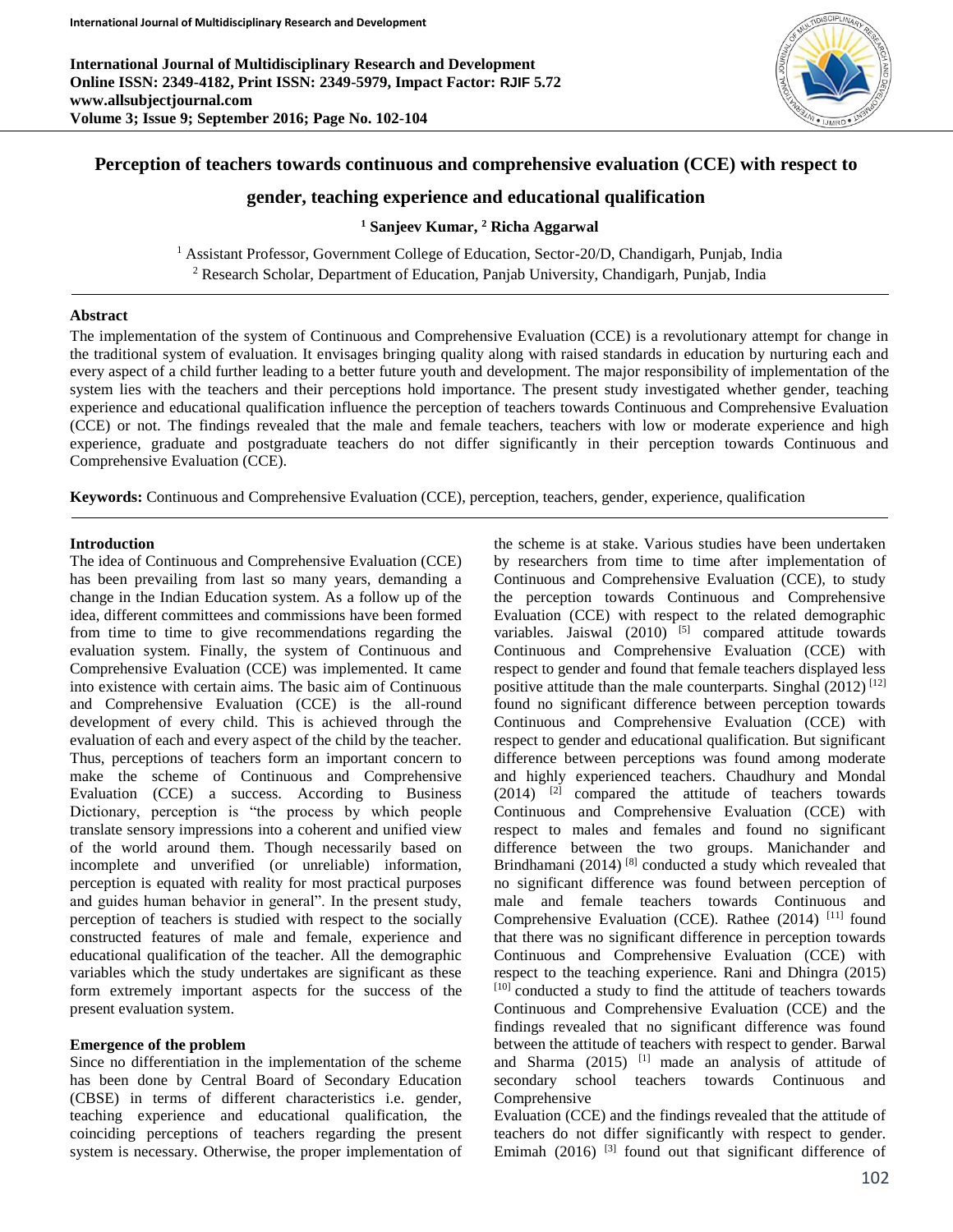**International Journal of Multidisciplinary Research and Development Online ISSN: 2349-4182, Print ISSN: 2349-5979, Impact Factor: RJIF 5.72 www.allsubjectjournal.com Volume 3; Issue 9; September 2016; Page No. 102-104**



## **Perception of teachers towards continuous and comprehensive evaluation (CCE) with respect to**

## **gender, teaching experience and educational qualification**

**<sup>1</sup> Sanjeev Kumar, <sup>2</sup> Richa Aggarwal**

<sup>1</sup> Assistant Professor, Government College of Education, Sector-20/D, Chandigarh, Punjab, India <sup>2</sup> Research Scholar, Department of Education, Panjab University, Chandigarh, Punjab, India

#### **Abstract**

The implementation of the system of Continuous and Comprehensive Evaluation (CCE) is a revolutionary attempt for change in the traditional system of evaluation. It envisages bringing quality along with raised standards in education by nurturing each and every aspect of a child further leading to a better future youth and development. The major responsibility of implementation of the system lies with the teachers and their perceptions hold importance. The present study investigated whether gender, teaching experience and educational qualification influence the perception of teachers towards Continuous and Comprehensive Evaluation (CCE) or not. The findings revealed that the male and female teachers, teachers with low or moderate experience and high experience, graduate and postgraduate teachers do not differ significantly in their perception towards Continuous and Comprehensive Evaluation (CCE).

**Keywords:** Continuous and Comprehensive Evaluation (CCE), perception, teachers, gender, experience, qualification

#### **Introduction**

The idea of Continuous and Comprehensive Evaluation (CCE) has been prevailing from last so many years, demanding a change in the Indian Education system. As a follow up of the idea, different committees and commissions have been formed from time to time to give recommendations regarding the evaluation system. Finally, the system of Continuous and Comprehensive Evaluation (CCE) was implemented. It came into existence with certain aims. The basic aim of Continuous and Comprehensive Evaluation (CCE) is the all-round development of every child. This is achieved through the evaluation of each and every aspect of the child by the teacher. Thus, perceptions of teachers form an important concern to make the scheme of Continuous and Comprehensive Evaluation (CCE) a success. According to Business Dictionary, perception is "the process by which people translate sensory impressions into a coherent and unified view of the world around them. Though necessarily based on incomplete and unverified (or unreliable) information, perception is equated with reality for most practical purposes and guides human behavior in general". In the present study, perception of teachers is studied with respect to the socially constructed features of male and female, experience and educational qualification of the teacher. All the demographic variables which the study undertakes are significant as these form extremely important aspects for the success of the present evaluation system.

#### **Emergence of the problem**

Since no differentiation in the implementation of the scheme has been done by Central Board of Secondary Education (CBSE) in terms of different characteristics i.e. gender, teaching experience and educational qualification, the coinciding perceptions of teachers regarding the present system is necessary. Otherwise, the proper implementation of

the scheme is at stake. Various studies have been undertaken by researchers from time to time after implementation of Continuous and Comprehensive Evaluation (CCE), to study the perception towards Continuous and Comprehensive Evaluation (CCE) with respect to the related demographic variables. Jaiswal  $(2010)$ <sup>[5]</sup> compared attitude towards Continuous and Comprehensive Evaluation (CCE) with respect to gender and found that female teachers displayed less positive attitude than the male counterparts. Singhal  $(2012)^{[12]}$ found no significant difference between perception towards Continuous and Comprehensive Evaluation (CCE) with respect to gender and educational qualification. But significant difference between perceptions was found among moderate and highly experienced teachers. Chaudhury and Mondal  $(2014)$  <sup>[2]</sup> compared the attitude of teachers towards Continuous and Comprehensive Evaluation (CCE) with respect to males and females and found no significant difference between the two groups. Manichander and Brindhamani (2014)<sup>[8]</sup> conducted a study which revealed that no significant difference was found between perception of male and female teachers towards Continuous and Comprehensive Evaluation (CCE). Rathee  $(2014)$ <sup>[11]</sup> found that there was no significant difference in perception towards Continuous and Comprehensive Evaluation (CCE) with respect to the teaching experience. Rani and Dhingra (2015) [10] conducted a study to find the attitude of teachers towards Continuous and Comprehensive Evaluation (CCE) and the findings revealed that no significant difference was found between the attitude of teachers with respect to gender. Barwal and Sharma  $(2015)$  <sup>[1]</sup> made an analysis of attitude of secondary school teachers towards Continuous and Comprehensive

Evaluation (CCE) and the findings revealed that the attitude of teachers do not differ significantly with respect to gender. Emimah (2016)  $[3]$  found out that significant difference of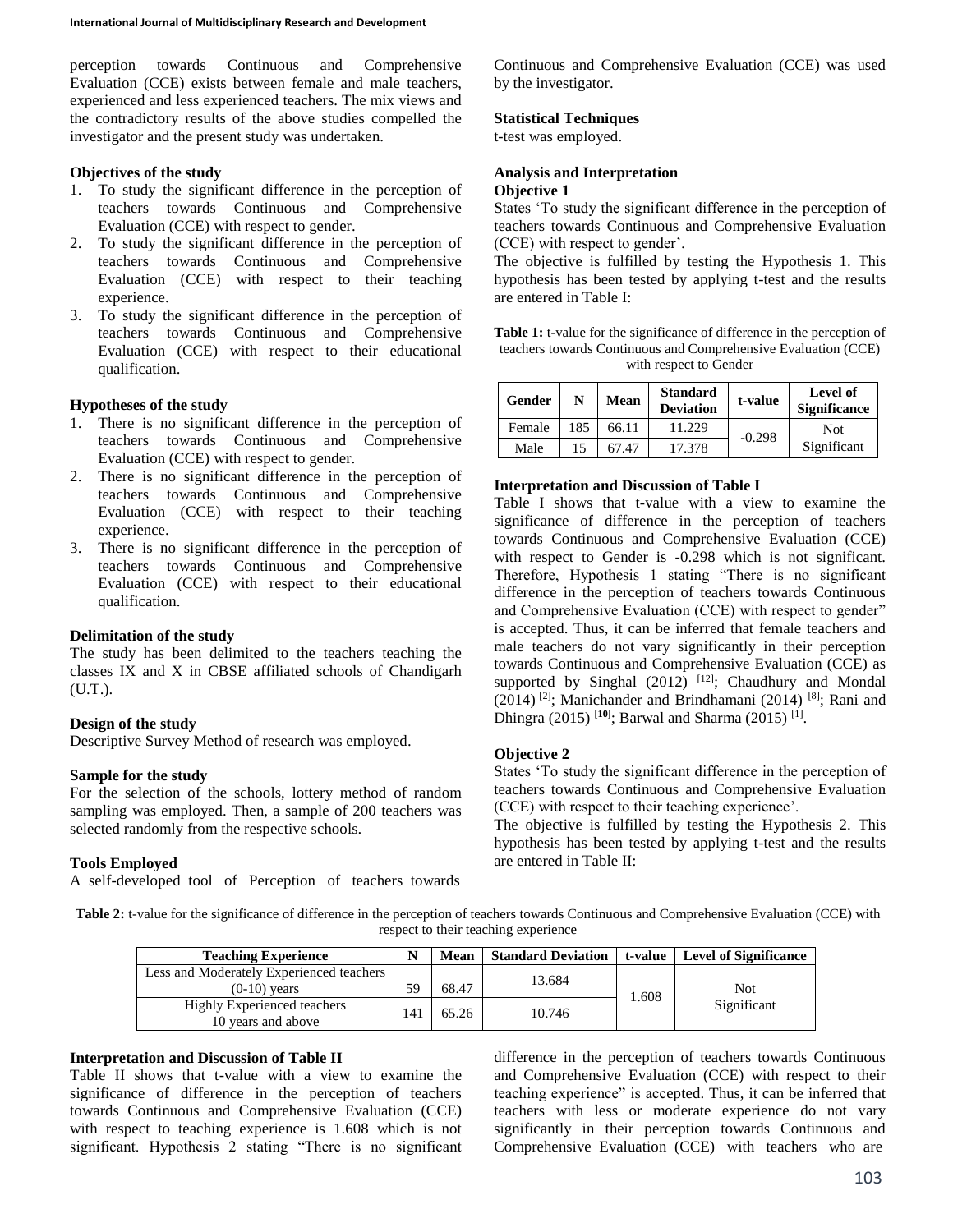perception towards Continuous and Comprehensive Evaluation (CCE) exists between female and male teachers, experienced and less experienced teachers. The mix views and the contradictory results of the above studies compelled the investigator and the present study was undertaken.

#### **Objectives of the study**

- 1. To study the significant difference in the perception of teachers towards Continuous and Comprehensive Evaluation (CCE) with respect to gender.
- 2. To study the significant difference in the perception of teachers towards Continuous and Comprehensive Evaluation (CCE) with respect to their teaching experience.
- 3. To study the significant difference in the perception of teachers towards Continuous and Comprehensive Evaluation (CCE) with respect to their educational qualification.

#### **Hypotheses of the study**

- 1. There is no significant difference in the perception of teachers towards Continuous and Comprehensive Evaluation (CCE) with respect to gender.
- 2. There is no significant difference in the perception of teachers towards Continuous and Comprehensive Evaluation (CCE) with respect to their teaching experience.
- 3. There is no significant difference in the perception of teachers towards Continuous and Comprehensive Evaluation (CCE) with respect to their educational qualification.

#### **Delimitation of the study**

The study has been delimited to the teachers teaching the classes IX and X in CBSE affiliated schools of Chandigarh (U.T.).

#### **Design of the study**

Descriptive Survey Method of research was employed.

#### **Sample for the study**

For the selection of the schools, lottery method of random sampling was employed. Then, a sample of 200 teachers was selected randomly from the respective schools.

#### **Tools Employed**

A self-developed tool of Perception of teachers towards

Continuous and Comprehensive Evaluation (CCE) was used by the investigator.

#### **Statistical Techniques**

t-test was employed.

# **Analysis and Interpretation**

## **Objective 1**

States 'To study the significant difference in the perception of teachers towards Continuous and Comprehensive Evaluation (CCE) with respect to gender'.

The objective is fulfilled by testing the Hypothesis 1. This hypothesis has been tested by applying t-test and the results are entered in Table I:

**Table 1:** t-value for the significance of difference in the perception of teachers towards Continuous and Comprehensive Evaluation (CCE) with respect to Gender

| Gender | N   | Mean  | <b>Standard</b><br><b>Deviation</b> | t-value  | Level of<br><b>Significance</b> |
|--------|-----|-------|-------------------------------------|----------|---------------------------------|
| Female | 185 | 66.11 | 11.229                              | $-0.298$ | <b>Not</b>                      |
| Male   | 15  | 67.47 | 17.378                              |          | Significant                     |

#### **Interpretation and Discussion of Table I**

Table I shows that t-value with a view to examine the significance of difference in the perception of teachers towards Continuous and Comprehensive Evaluation (CCE) with respect to Gender is -0.298 which is not significant. Therefore, Hypothesis 1 stating "There is no significant difference in the perception of teachers towards Continuous and Comprehensive Evaluation (CCE) with respect to gender" is accepted. Thus, it can be inferred that female teachers and male teachers do not vary significantly in their perception towards Continuous and Comprehensive Evaluation (CCE) as supported by Singhal  $(2012)$  <sup>[12]</sup>; Chaudhury and Mondal  $(2014)$ <sup>[2]</sup>; Manichander and Brindhamani  $(2014)$ <sup>[8]</sup>; Rani and Dhingra (2015) **[10]**; Barwal and Sharma (2015) [1] .

## **Objective 2**

States 'To study the significant difference in the perception of teachers towards Continuous and Comprehensive Evaluation (CCE) with respect to their teaching experience'.

The objective is fulfilled by testing the Hypothesis 2. This hypothesis has been tested by applying t-test and the results are entered in Table II:

**Table 2:** t-value for the significance of difference in the perception of teachers towards Continuous and Comprehensive Evaluation (CCE) with respect to their teaching experience

| <b>Teaching Experience</b>                        |    | <b>Mean</b> | <b>Standard Deviation</b> | t-value | <b>Level of Significance</b> |
|---------------------------------------------------|----|-------------|---------------------------|---------|------------------------------|
| Less and Moderately Experienced teachers          | 59 |             | 13.684                    |         |                              |
| $(0-10)$ years                                    |    | 68.47       |                           | 1.608   | Not.                         |
| Highly Experienced teachers<br>10 years and above | 14 | 65.26       | 10.746                    |         | Significant                  |

#### **Interpretation and Discussion of Table II**

Table II shows that t-value with a view to examine the significance of difference in the perception of teachers towards Continuous and Comprehensive Evaluation (CCE) with respect to teaching experience is 1.608 which is not significant. Hypothesis 2 stating "There is no significant

difference in the perception of teachers towards Continuous and Comprehensive Evaluation (CCE) with respect to their teaching experience" is accepted. Thus, it can be inferred that teachers with less or moderate experience do not vary significantly in their perception towards Continuous and Comprehensive Evaluation (CCE) with teachers who are